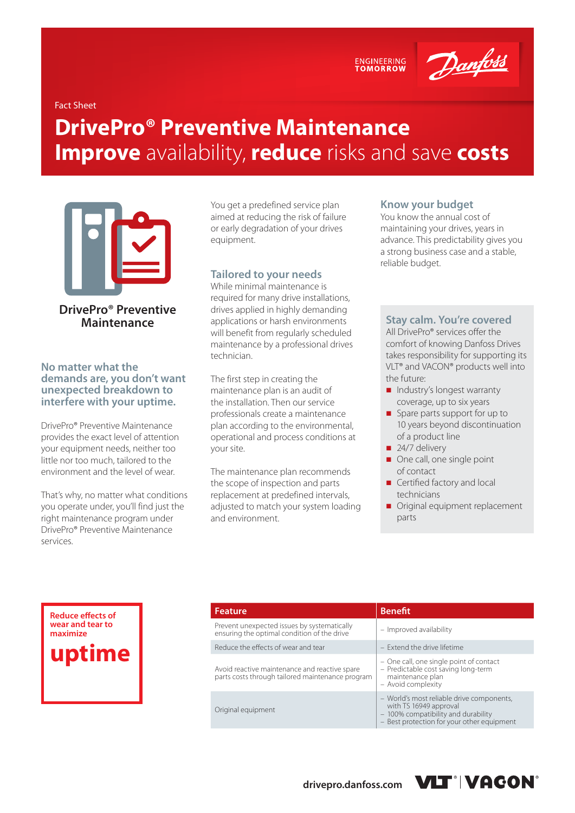ENGINEERING<br>TOMORROW



Fact Sheet

# **DrivePro® Preventive Maintenance Improve** availability, **reduce** risks and save **costs**



**DrivePro® Preventive Maintenance**

**No matter what the demands are, you don't want unexpected breakdown to interfere with your uptime.**

DrivePro® Preventive Maintenance provides the exact level of attention your equipment needs, neither too little nor too much, tailored to the environment and the level of wear.

That's why, no matter what conditions you operate under, you'll find just the right maintenance program under DrivePro® Preventive Maintenance services.

You get a predefined service plan aimed at reducing the risk of failure or early degradation of your drives equipment.

#### **Tailored to your needs**

While minimal maintenance is required for many drive installations, drives applied in highly demanding applications or harsh environments will benefit from regularly scheduled maintenance by a professional drives technician.

The first step in creating the maintenance plan is an audit of the installation. Then our service professionals create a maintenance plan according to the environmental, operational and process conditions at your site.

The maintenance plan recommends the scope of inspection and parts replacement at predefined intervals, adjusted to match your system loading and environment.

#### **Know your budget**

You know the annual cost of maintaining your drives, years in advance. This predictability gives you a strong business case and a stable, reliable budget.

#### **Stay calm. You're covered**

All DrivePro® services offer the comfort of knowing Danfoss Drives takes responsibility for supporting its VLT® and VACON® products well into the future:

- Industry's longest warranty coverage, up to six years
- Spare parts support for up to 10 years beyond discontinuation of a product line
- $\blacksquare$  24/7 delivery
- One call, one single point of contact
- Certified factory and local technicians
- **Original equipment replacement** parts

**Reduce effects of wear and tear to maximize uptime**

| <b>Feature</b>                                                                                    | <b>Benefit</b>                                                                                                                                           |
|---------------------------------------------------------------------------------------------------|----------------------------------------------------------------------------------------------------------------------------------------------------------|
| Prevent unexpected issues by systematically<br>ensuring the optimal condition of the drive        | - Improved availability                                                                                                                                  |
| Reduce the effects of wear and tear                                                               | - Extend the drive lifetime                                                                                                                              |
| Avoid reactive maintenance and reactive spare<br>parts costs through tailored maintenance program | - One call, one single point of contact<br>- Predictable cost saving long-term<br>maintenance plan<br>- Avoid complexity                                 |
| Original equipment                                                                                | - World's most reliable drive components,<br>with TS 16949 approval<br>- 100% compatibility and durability<br>- Best protection for your other equipment |